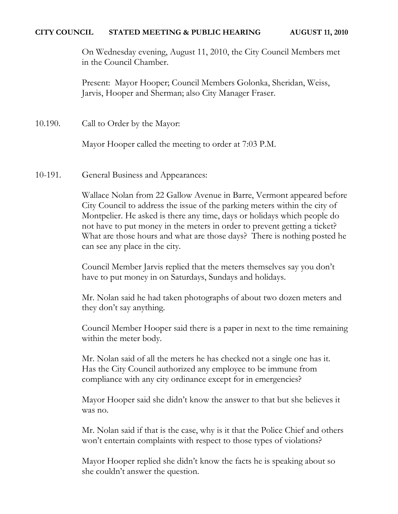#### **CITY COUNCIL STATED MEETING & PUBLIC HEARING AUGUST 11, 2010**

On Wednesday evening, August 11, 2010, the City Council Members met in the Council Chamber.

Present: Mayor Hooper; Council Members Golonka, Sheridan, Weiss, Jarvis, Hooper and Sherman; also City Manager Fraser.

10.190. Call to Order by the Mayor:

Mayor Hooper called the meeting to order at 7:03 P.M.

10-191. General Business and Appearances:

Wallace Nolan from 22 Gallow Avenue in Barre, Vermont appeared before City Council to address the issue of the parking meters within the city of Montpelier. He asked is there any time, days or holidays which people do not have to put money in the meters in order to prevent getting a ticket? What are those hours and what are those days? There is nothing posted he can see any place in the city.

Council Member Jarvis replied that the meters themselves say you don't have to put money in on Saturdays, Sundays and holidays.

Mr. Nolan said he had taken photographs of about two dozen meters and they don't say anything.

Council Member Hooper said there is a paper in next to the time remaining within the meter body.

Mr. Nolan said of all the meters he has checked not a single one has it. Has the City Council authorized any employee to be immune from compliance with any city ordinance except for in emergencies?

Mayor Hooper said she didn't know the answer to that but she believes it was no.

Mr. Nolan said if that is the case, why is it that the Police Chief and others won't entertain complaints with respect to those types of violations?

Mayor Hooper replied she didn't know the facts he is speaking about so she couldn't answer the question.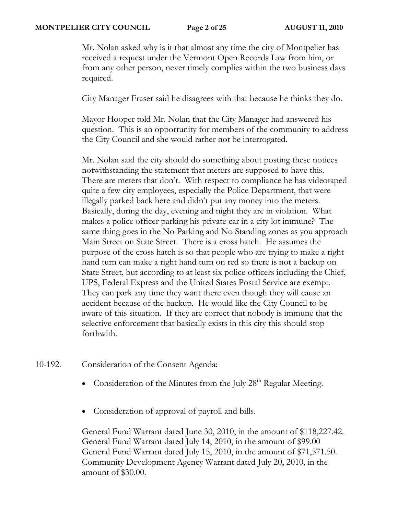Mr. Nolan asked why is it that almost any time the city of Montpelier has received a request under the Vermont Open Records Law from him, or from any other person, never timely complies within the two business days required.

City Manager Fraser said he disagrees with that because he thinks they do.

Mayor Hooper told Mr. Nolan that the City Manager had answered his question. This is an opportunity for members of the community to address the City Council and she would rather not be interrogated.

Mr. Nolan said the city should do something about posting these notices notwithstanding the statement that meters are supposed to have this. There are meters that don't. With respect to compliance he has videotaped quite a few city employees, especially the Police Department, that were illegally parked back here and didn't put any money into the meters. Basically, during the day, evening and night they are in violation. What makes a police officer parking his private car in a city lot immune? The same thing goes in the No Parking and No Standing zones as you approach Main Street on State Street. There is a cross hatch. He assumes the purpose of the cross hatch is so that people who are trying to make a right hand turn can make a right hand turn on red so there is not a backup on State Street, but according to at least six police officers including the Chief, UPS, Federal Express and the United States Postal Service are exempt. They can park any time they want there even though they will cause an accident because of the backup. He would like the City Council to be aware of this situation. If they are correct that nobody is immune that the selective enforcement that basically exists in this city this should stop forthwith.

- 10-192. Consideration of the Consent Agenda:
	- Consideration of the Minutes from the July  $28<sup>th</sup>$  Regular Meeting.
	- Consideration of approval of payroll and bills.

General Fund Warrant dated June 30, 2010, in the amount of \$118,227.42. General Fund Warrant dated July 14, 2010, in the amount of \$99.00 General Fund Warrant dated July 15, 2010, in the amount of \$71,571.50. Community Development Agency Warrant dated July 20, 2010, in the amount of \$30.00.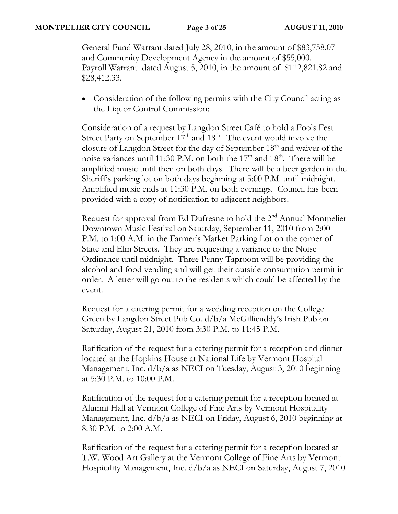General Fund Warrant dated July 28, 2010, in the amount of \$83,758.07 and Community Development Agency in the amount of \$55,000. Payroll Warrant dated August 5, 2010, in the amount of \$112,821.82 and \$28,412.33.

• Consideration of the following permits with the City Council acting as the Liquor Control Commission:

Consideration of a request by Langdon Street Café to hold a Fools Fest Street Party on September  $17<sup>th</sup>$  and  $18<sup>th</sup>$ . The event would involve the closure of Langdon Street for the day of September 18<sup>th</sup> and waiver of the noise variances until 11:30 P.M. on both the 17<sup>th</sup> and 18<sup>th</sup>. There will be amplified music until then on both days. There will be a beer garden in the Sheriff's parking lot on both days beginning at 5:00 P.M. until midnight. Amplified music ends at 11:30 P.M. on both evenings. Council has been provided with a copy of notification to adjacent neighbors.

Request for approval from Ed Dufresne to hold the 2nd Annual Montpelier Downtown Music Festival on Saturday, September 11, 2010 from 2:00 P.M. to 1:00 A.M. in the Farmer's Market Parking Lot on the corner of State and Elm Streets. They are requesting a variance to the Noise Ordinance until midnight. Three Penny Taproom will be providing the alcohol and food vending and will get their outside consumption permit in order. A letter will go out to the residents which could be affected by the event.

Request for a catering permit for a wedding reception on the College Green by Langdon Street Pub Co. d/b/a McGillicuddy's Irish Pub on Saturday, August 21, 2010 from 3:30 P.M. to 11:45 P.M.

Ratification of the request for a catering permit for a reception and dinner located at the Hopkins House at National Life by Vermont Hospital Management, Inc. d/b/a as NECI on Tuesday, August 3, 2010 beginning at 5:30 P.M. to 10:00 P.M.

Ratification of the request for a catering permit for a reception located at Alumni Hall at Vermont College of Fine Arts by Vermont Hospitality Management, Inc. d/b/a as NECI on Friday, August 6, 2010 beginning at 8:30 P.M. to 2:00 A.M.

Ratification of the request for a catering permit for a reception located at T.W. Wood Art Gallery at the Vermont College of Fine Arts by Vermont Hospitality Management, Inc. d/b/a as NECI on Saturday, August 7, 2010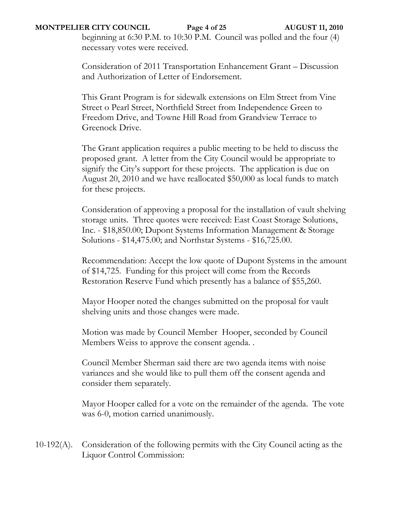### **MONTPELIER CITY COUNCIL Page 4 of 25 AUGUST 11, 2010**

beginning at 6:30 P.M. to 10:30 P.M.Council was polled and the four (4) necessary votes were received.

Consideration of 2011 Transportation Enhancement Grant – Discussion and Authorization of Letter of Endorsement.

This Grant Program is for sidewalk extensions on Elm Street from Vine Street o Pearl Street, Northfield Street from Independence Green to Freedom Drive, and Towne Hill Road from Grandview Terrace to Greenock Drive.

The Grant application requires a public meeting to be held to discuss the proposed grant. A letter from the City Council would be appropriate to signify the City's support for these projects. The application is due on August 20, 2010 and we have reallocated \$50,000 as local funds to match for these projects.

Consideration of approving a proposal for the installation of vault shelving storage units. Three quotes were received: East Coast Storage Solutions, Inc. - \$18,850.00; Dupont Systems Information Management & Storage Solutions - \$14,475.00; and Northstar Systems - \$16,725.00.

Recommendation: Accept the low quote of Dupont Systems in the amount of \$14,725. Funding for this project will come from the Records Restoration Reserve Fund which presently has a balance of \$55,260.

Mayor Hooper noted the changes submitted on the proposal for vault shelving units and those changes were made.

Motion was made by Council Member Hooper, seconded by Council Members Weiss to approve the consent agenda. .

Council Member Sherman said there are two agenda items with noise variances and she would like to pull them off the consent agenda and consider them separately.

Mayor Hooper called for a vote on the remainder of the agenda. The vote was 6-0, motion carried unanimously.

10-192(A). Consideration of the following permits with the City Council acting as the Liquor Control Commission: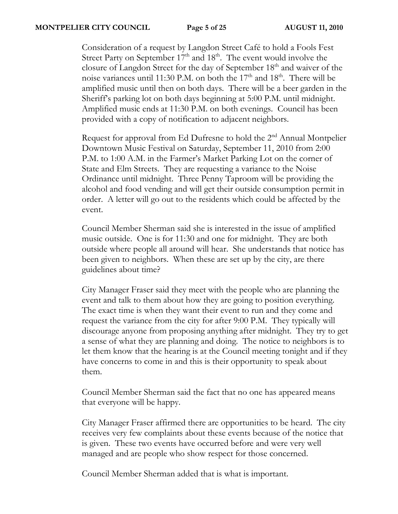Consideration of a request by Langdon Street Café to hold a Fools Fest Street Party on September  $17<sup>th</sup>$  and  $18<sup>th</sup>$ . The event would involve the closure of Langdon Street for the day of September  $18<sup>th</sup>$  and waiver of the noise variances until 11:30 P.M. on both the 17<sup>th</sup> and 18<sup>th</sup>. There will be amplified music until then on both days. There will be a beer garden in the Sheriff's parking lot on both days beginning at 5:00 P.M. until midnight. Amplified music ends at 11:30 P.M. on both evenings. Council has been provided with a copy of notification to adjacent neighbors.

Request for approval from Ed Dufresne to hold the  $2<sup>nd</sup>$  Annual Montpelier Downtown Music Festival on Saturday, September 11, 2010 from 2:00 P.M. to 1:00 A.M. in the Farmer's Market Parking Lot on the corner of State and Elm Streets. They are requesting a variance to the Noise Ordinance until midnight. Three Penny Taproom will be providing the alcohol and food vending and will get their outside consumption permit in order. A letter will go out to the residents which could be affected by the event.

Council Member Sherman said she is interested in the issue of amplified music outside. One is for 11:30 and one for midnight. They are both outside where people all around will hear. She understands that notice has been given to neighbors. When these are set up by the city, are there guidelines about time?

City Manager Fraser said they meet with the people who are planning the event and talk to them about how they are going to position everything. The exact time is when they want their event to run and they come and request the variance from the city for after 9:00 P.M. They typically will discourage anyone from proposing anything after midnight. They try to get a sense of what they are planning and doing. The notice to neighbors is to let them know that the hearing is at the Council meeting tonight and if they have concerns to come in and this is their opportunity to speak about them.

Council Member Sherman said the fact that no one has appeared means that everyone will be happy.

City Manager Fraser affirmed there are opportunities to be heard. The city receives very few complaints about these events because of the notice that is given. These two events have occurred before and were very well managed and are people who show respect for those concerned.

Council Member Sherman added that is what is important.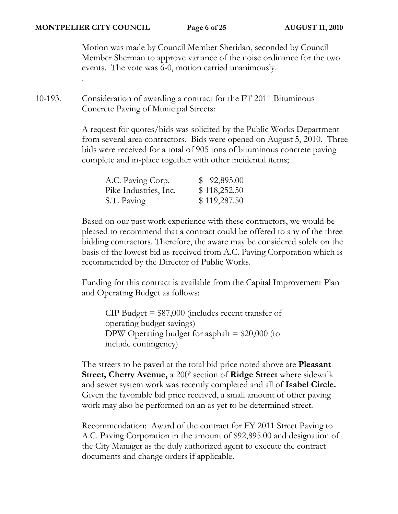.

Motion was made by Council Member Sheridan, seconded by Council Member Sherman to approve variance of the noise ordinance for the two events. The vote was 6-0, motion carried unanimously.

10-193. Consideration of awarding a contract for the FT 2011 Bituminous Concrete Paving of Municipal Streets:

> A request for quotes/bids was solicited by the Public Works Department from several area contractors. Bids were opened on August 5, 2010. Three bids were received for a total of 905 tons of bituminous concrete paving complete and in-place together with other incidental items;

| A.C. Paving Corp.     | \$92,895.00  |
|-----------------------|--------------|
| Pike Industries, Inc. | \$118,252.50 |
| S.T. Paving           | \$119,287.50 |

Based on our past work experience with these contractors, we would be pleased to recommend that a contract could be offered to any of the three bidding contractors. Therefore, the aware may be considered solely on the basis of the lowest bid as received from A.C. Paving Corporation which is recommended by the Director of Public Works.

Funding for this contract is available from the Capital Improvement Plan and Operating Budget as follows:

CIP Budget = \$87,000 (includes recent transfer of operating budget savings) DPW Operating budget for asphalt  $= $20,000$  (to include contingency)

The streets to be paved at the total bid price noted above are **Pleasant Street, Cherry Avenue,** a 200' section of **Ridge Street** where sidewalk and sewer system work was recently completed and all of **Isabel Circle.** Given the favorable bid price received, a small amount of other paving work may also be performed on an as yet to be determined street.

Recommendation: Award of the contract for FY 2011 Street Paving to A.C. Paving Corporation in the amount of \$92,895.00 and designation of the City Manager as the duly authorized agent to execute the contract documents and change orders if applicable.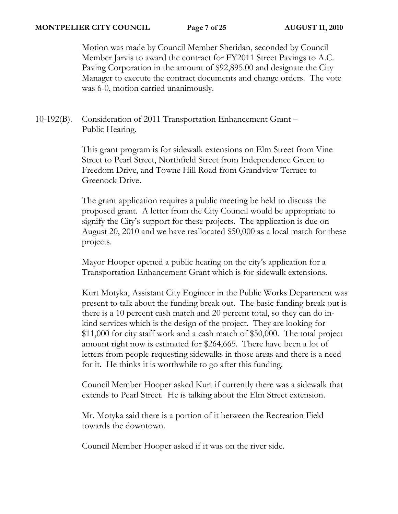Motion was made by Council Member Sheridan, seconded by Council Member Jarvis to award the contract for FY2011 Street Pavings to A.C. Paving Corporation in the amount of \$92,895.00 and designate the City Manager to execute the contract documents and change orders. The vote was 6-0, motion carried unanimously.

10-192(B). Consideration of 2011 Transportation Enhancement Grant – Public Hearing.

> This grant program is for sidewalk extensions on Elm Street from Vine Street to Pearl Street, Northfield Street from Independence Green to Freedom Drive, and Towne Hill Road from Grandview Terrace to Greenock Drive.

The grant application requires a public meeting be held to discuss the proposed grant. A letter from the City Council would be appropriate to signify the City's support for these projects. The application is due on August 20, 2010 and we have reallocated \$50,000 as a local match for these projects.

Mayor Hooper opened a public hearing on the city's application for a Transportation Enhancement Grant which is for sidewalk extensions.

Kurt Motyka, Assistant City Engineer in the Public Works Department was present to talk about the funding break out. The basic funding break out is there is a 10 percent cash match and 20 percent total, so they can do inkind services which is the design of the project. They are looking for \$11,000 for city staff work and a cash match of \$50,000. The total project amount right now is estimated for \$264,665. There have been a lot of letters from people requesting sidewalks in those areas and there is a need for it. He thinks it is worthwhile to go after this funding.

Council Member Hooper asked Kurt if currently there was a sidewalk that extends to Pearl Street. He is talking about the Elm Street extension.

Mr. Motyka said there is a portion of it between the Recreation Field towards the downtown.

Council Member Hooper asked if it was on the river side.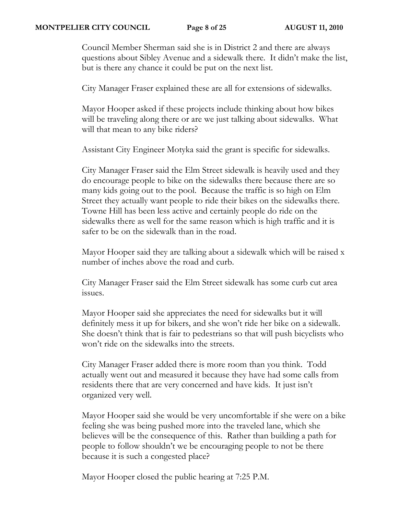#### **MONTPELIER CITY COUNCIL Page 8 of 25 AUGUST 11, 2010**

Council Member Sherman said she is in District 2 and there are always questions about Sibley Avenue and a sidewalk there. It didn't make the list, but is there any chance it could be put on the next list.

City Manager Fraser explained these are all for extensions of sidewalks.

Mayor Hooper asked if these projects include thinking about how bikes will be traveling along there or are we just talking about sidewalks. What will that mean to any bike riders?

Assistant City Engineer Motyka said the grant is specific for sidewalks.

City Manager Fraser said the Elm Street sidewalk is heavily used and they do encourage people to bike on the sidewalks there because there are so many kids going out to the pool. Because the traffic is so high on Elm Street they actually want people to ride their bikes on the sidewalks there. Towne Hill has been less active and certainly people do ride on the sidewalks there as well for the same reason which is high traffic and it is safer to be on the sidewalk than in the road.

Mayor Hooper said they are talking about a sidewalk which will be raised x number of inches above the road and curb.

City Manager Fraser said the Elm Street sidewalk has some curb cut area issues.

Mayor Hooper said she appreciates the need for sidewalks but it will definitely mess it up for bikers, and she won't ride her bike on a sidewalk. She doesn't think that is fair to pedestrians so that will push bicyclists who won't ride on the sidewalks into the streets.

City Manager Fraser added there is more room than you think. Todd actually went out and measured it because they have had some calls from residents there that are very concerned and have kids. It just isn't organized very well.

Mayor Hooper said she would be very uncomfortable if she were on a bike feeling she was being pushed more into the traveled lane, which she believes will be the consequence of this. Rather than building a path for people to follow shouldn't we be encouraging people to not be there because it is such a congested place?

Mayor Hooper closed the public hearing at 7:25 P.M.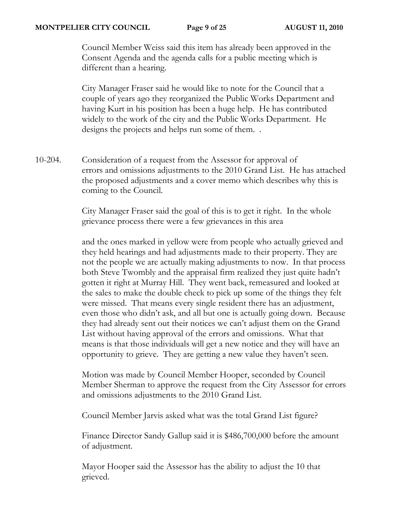#### **MONTPELIER CITY COUNCIL Page 9 of 25 AUGUST 11, 2010**

Council Member Weiss said this item has already been approved in the Consent Agenda and the agenda calls for a public meeting which is different than a hearing.

City Manager Fraser said he would like to note for the Council that a couple of years ago they reorganized the Public Works Department and having Kurt in his position has been a huge help. He has contributed widely to the work of the city and the Public Works Department. He designs the projects and helps run some of them. .

10-204. Consideration of a request from the Assessor for approval of errors and omissions adjustments to the 2010 Grand List. He has attached the proposed adjustments and a cover memo which describes why this is coming to the Council.

> City Manager Fraser said the goal of this is to get it right. In the whole grievance process there were a few grievances in this area

and the ones marked in yellow were from people who actually grieved and they held hearings and had adjustments made to their property. They are not the people we are actually making adjustments to now. In that process both Steve Twombly and the appraisal firm realized they just quite hadn't gotten it right at Murray Hill. They went back, remeasured and looked at the sales to make the double check to pick up some of the things they felt were missed. That means every single resident there has an adjustment, even those who didn't ask, and all but one is actually going down. Because they had already sent out their notices we can't adjust them on the Grand List without having approval of the errors and omissions. What that means is that those individuals will get a new notice and they will have an opportunity to grieve. They are getting a new value they haven't seen.

Motion was made by Council Member Hooper, seconded by Council Member Sherman to approve the request from the City Assessor for errors and omissions adjustments to the 2010 Grand List.

Council Member Jarvis asked what was the total Grand List figure?

Finance Director Sandy Gallup said it is \$486,700,000 before the amount of adjustment.

Mayor Hooper said the Assessor has the ability to adjust the 10 that grieved.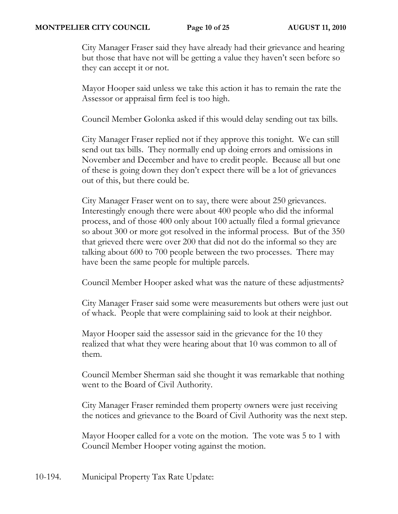#### **MONTPELIER CITY COUNCIL Page 10 of 25 AUGUST 11, 2010**

City Manager Fraser said they have already had their grievance and hearing but those that have not will be getting a value they haven't seen before so they can accept it or not.

Mayor Hooper said unless we take this action it has to remain the rate the Assessor or appraisal firm feel is too high.

Council Member Golonka asked if this would delay sending out tax bills.

City Manager Fraser replied not if they approve this tonight. We can still send out tax bills. They normally end up doing errors and omissions in November and December and have to credit people. Because all but one of these is going down they don't expect there will be a lot of grievances out of this, but there could be.

City Manager Fraser went on to say, there were about 250 grievances. Interestingly enough there were about 400 people who did the informal process, and of those 400 only about 100 actually filed a formal grievance so about 300 or more got resolved in the informal process. But of the 350 that grieved there were over 200 that did not do the informal so they are talking about 600 to 700 people between the two processes. There may have been the same people for multiple parcels.

Council Member Hooper asked what was the nature of these adjustments?

City Manager Fraser said some were measurements but others were just out of whack. People that were complaining said to look at their neighbor.

Mayor Hooper said the assessor said in the grievance for the 10 they realized that what they were hearing about that 10 was common to all of them.

Council Member Sherman said she thought it was remarkable that nothing went to the Board of Civil Authority.

City Manager Fraser reminded them property owners were just receiving the notices and grievance to the Board of Civil Authority was the next step.

Mayor Hooper called for a vote on the motion. The vote was 5 to 1 with Council Member Hooper voting against the motion.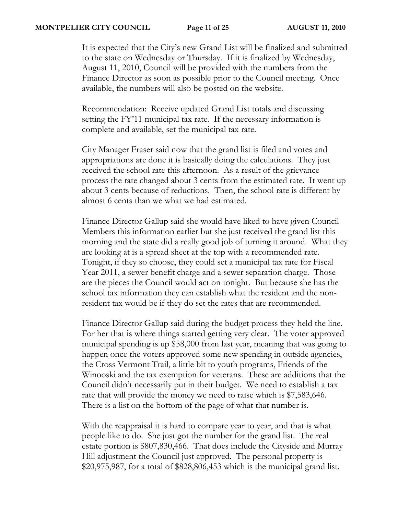#### **MONTPELIER CITY COUNCIL Page 11 of 25 AUGUST 11, 2010**

It is expected that the City's new Grand List will be finalized and submitted to the state on Wednesday or Thursday. If it is finalized by Wednesday, August 11, 2010, Council will be provided with the numbers from the Finance Director as soon as possible prior to the Council meeting. Once available, the numbers will also be posted on the website.

Recommendation: Receive updated Grand List totals and discussing setting the FY'11 municipal tax rate. If the necessary information is complete and available, set the municipal tax rate.

City Manager Fraser said now that the grand list is filed and votes and appropriations are done it is basically doing the calculations. They just received the school rate this afternoon. As a result of the grievance process the rate changed about 3 cents from the estimated rate. It went up about 3 cents because of reductions. Then, the school rate is different by almost 6 cents than we what we had estimated.

Finance Director Gallup said she would have liked to have given Council Members this information earlier but she just received the grand list this morning and the state did a really good job of turning it around. What they are looking at is a spread sheet at the top with a recommended rate. Tonight, if they so choose, they could set a municipal tax rate for Fiscal Year 2011, a sewer benefit charge and a sewer separation charge. Those are the pieces the Council would act on tonight. But because she has the school tax information they can establish what the resident and the nonresident tax would be if they do set the rates that are recommended.

Finance Director Gallup said during the budget process they held the line. For her that is where things started getting very clear. The voter approved municipal spending is up \$58,000 from last year, meaning that was going to happen once the voters approved some new spending in outside agencies, the Cross Vermont Trail, a little bit to youth programs, Friends of the Winooski and the tax exemption for veterans. These are additions that the Council didn't necessarily put in their budget. We need to establish a tax rate that will provide the money we need to raise which is \$7,583,646. There is a list on the bottom of the page of what that number is.

With the reappraisal it is hard to compare year to year, and that is what people like to do. She just got the number for the grand list. The real estate portion is \$807,830,466. That does include the Cityside and Murray Hill adjustment the Council just approved. The personal property is \$20,975,987, for a total of \$828,806,453 which is the municipal grand list.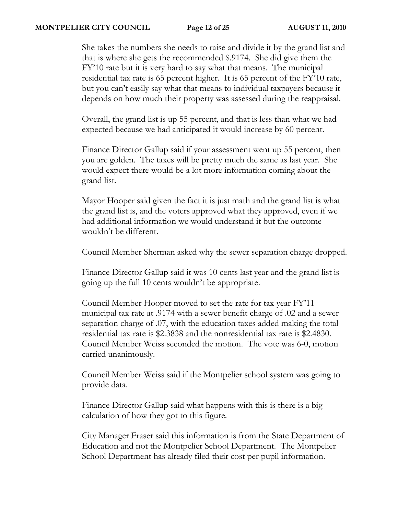She takes the numbers she needs to raise and divide it by the grand list and that is where she gets the recommended \$.9174. She did give them the FY'10 rate but it is very hard to say what that means. The municipal residential tax rate is 65 percent higher. It is 65 percent of the FY'10 rate, but you can't easily say what that means to individual taxpayers because it depends on how much their property was assessed during the reappraisal.

Overall, the grand list is up 55 percent, and that is less than what we had expected because we had anticipated it would increase by 60 percent.

Finance Director Gallup said if your assessment went up 55 percent, then you are golden. The taxes will be pretty much the same as last year. She would expect there would be a lot more information coming about the grand list.

Mayor Hooper said given the fact it is just math and the grand list is what the grand list is, and the voters approved what they approved, even if we had additional information we would understand it but the outcome wouldn't be different.

Council Member Sherman asked why the sewer separation charge dropped.

Finance Director Gallup said it was 10 cents last year and the grand list is going up the full 10 cents wouldn't be appropriate.

Council Member Hooper moved to set the rate for tax year FY'11 municipal tax rate at .9174 with a sewer benefit charge of .02 and a sewer separation charge of .07, with the education taxes added making the total residential tax rate is \$2.3838 and the nonresidential tax rate is \$2.4830. Council Member Weiss seconded the motion. The vote was 6-0, motion carried unanimously.

Council Member Weiss said if the Montpelier school system was going to provide data.

Finance Director Gallup said what happens with this is there is a big calculation of how they got to this figure.

City Manager Fraser said this information is from the State Department of Education and not the Montpelier School Department. The Montpelier School Department has already filed their cost per pupil information.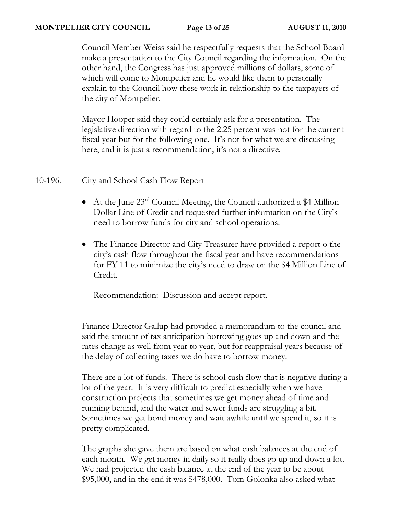## **MONTPELIER CITY COUNCIL Page 13 of 25 AUGUST 11, 2010**

Council Member Weiss said he respectfully requests that the School Board make a presentation to the City Council regarding the information. On the other hand, the Congress has just approved millions of dollars, some of which will come to Montpelier and he would like them to personally explain to the Council how these work in relationship to the taxpayers of the city of Montpelier.

Mayor Hooper said they could certainly ask for a presentation. The legislative direction with regard to the 2.25 percent was not for the current fiscal year but for the following one. It's not for what we are discussing here, and it is just a recommendation; it's not a directive.

## 10-196. City and School Cash Flow Report

- At the June  $23^{rd}$  Council Meeting, the Council authorized a \$4 Million Dollar Line of Credit and requested further information on the City's need to borrow funds for city and school operations.
- The Finance Director and City Treasurer have provided a report o the city's cash flow throughout the fiscal year and have recommendations for FY 11 to minimize the city's need to draw on the \$4 Million Line of Credit.

Recommendation: Discussion and accept report.

Finance Director Gallup had provided a memorandum to the council and said the amount of tax anticipation borrowing goes up and down and the rates change as well from year to year, but for reappraisal years because of the delay of collecting taxes we do have to borrow money.

There are a lot of funds. There is school cash flow that is negative during a lot of the year. It is very difficult to predict especially when we have construction projects that sometimes we get money ahead of time and running behind, and the water and sewer funds are struggling a bit. Sometimes we get bond money and wait awhile until we spend it, so it is pretty complicated.

The graphs she gave them are based on what cash balances at the end of each month. We get money in daily so it really does go up and down a lot. We had projected the cash balance at the end of the year to be about \$95,000, and in the end it was \$478,000. Tom Golonka also asked what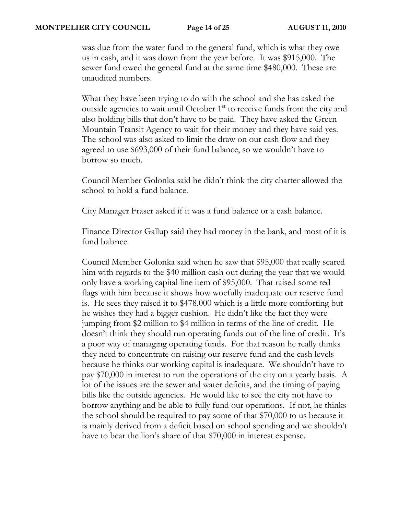was due from the water fund to the general fund, which is what they owe us in cash, and it was down from the year before. It was \$915,000. The sewer fund owed the general fund at the same time \$480,000. These are unaudited numbers.

What they have been trying to do with the school and she has asked the outside agencies to wait until October 1<sup>st</sup> to receive funds from the city and also holding bills that don't have to be paid. They have asked the Green Mountain Transit Agency to wait for their money and they have said yes. The school was also asked to limit the draw on our cash flow and they agreed to use \$693,000 of their fund balance, so we wouldn't have to borrow so much.

Council Member Golonka said he didn't think the city charter allowed the school to hold a fund balance.

City Manager Fraser asked if it was a fund balance or a cash balance.

Finance Director Gallup said they had money in the bank, and most of it is fund balance.

Council Member Golonka said when he saw that \$95,000 that really scared him with regards to the \$40 million cash out during the year that we would only have a working capital line item of \$95,000. That raised some red flags with him because it shows how woefully inadequate our reserve fund is. He sees they raised it to \$478,000 which is a little more comforting but he wishes they had a bigger cushion. He didn't like the fact they were jumping from \$2 million to \$4 million in terms of the line of credit. He doesn't think they should run operating funds out of the line of credit. It's a poor way of managing operating funds. For that reason he really thinks they need to concentrate on raising our reserve fund and the cash levels because he thinks our working capital is inadequate. We shouldn't have to pay \$70,000 in interest to run the operations of the city on a yearly basis. A lot of the issues are the sewer and water deficits, and the timing of paying bills like the outside agencies. He would like to see the city not have to borrow anything and be able to fully fund our operations. If not, he thinks the school should be required to pay some of that \$70,000 to us because it is mainly derived from a deficit based on school spending and we shouldn't have to bear the lion's share of that \$70,000 in interest expense.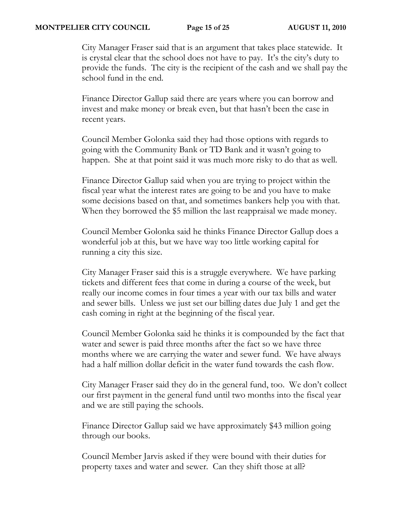### **MONTPELIER CITY COUNCIL Page 15 of 25 AUGUST 11, 2010**

City Manager Fraser said that is an argument that takes place statewide. It is crystal clear that the school does not have to pay. It's the city's duty to provide the funds. The city is the recipient of the cash and we shall pay the school fund in the end.

Finance Director Gallup said there are years where you can borrow and invest and make money or break even, but that hasn't been the case in recent years.

Council Member Golonka said they had those options with regards to going with the Community Bank or TD Bank and it wasn't going to happen. She at that point said it was much more risky to do that as well.

Finance Director Gallup said when you are trying to project within the fiscal year what the interest rates are going to be and you have to make some decisions based on that, and sometimes bankers help you with that. When they borrowed the \$5 million the last reappraisal we made money.

Council Member Golonka said he thinks Finance Director Gallup does a wonderful job at this, but we have way too little working capital for running a city this size.

City Manager Fraser said this is a struggle everywhere. We have parking tickets and different fees that come in during a course of the week, but really our income comes in four times a year with our tax bills and water and sewer bills. Unless we just set our billing dates due July 1 and get the cash coming in right at the beginning of the fiscal year.

Council Member Golonka said he thinks it is compounded by the fact that water and sewer is paid three months after the fact so we have three months where we are carrying the water and sewer fund. We have always had a half million dollar deficit in the water fund towards the cash flow.

City Manager Fraser said they do in the general fund, too. We don't collect our first payment in the general fund until two months into the fiscal year and we are still paying the schools.

Finance Director Gallup said we have approximately \$43 million going through our books.

Council Member Jarvis asked if they were bound with their duties for property taxes and water and sewer. Can they shift those at all?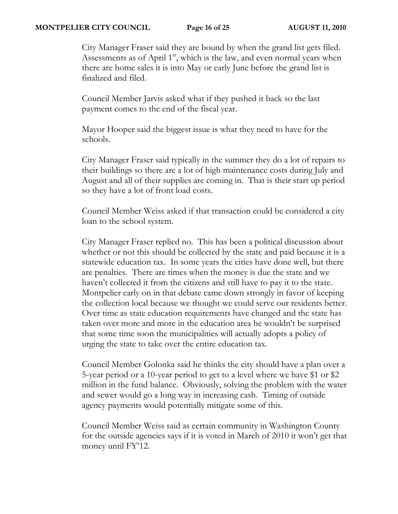#### **MONTPELIER CITY COUNCIL Page 16 of 25 AUGUST 11, 2010**

City Manager Fraser said they are bound by when the grand list gets filed. Assessments as of April 1<sup>st</sup>, which is the law, and even normal years when there are home sales it is into May or early June before the grand list is finalized and filed.

Council Member Jarvis asked what if they pushed it back so the last payment comes to the end of the fiscal year.

Mayor Hooper said the biggest issue is what they need to have for the schools.

City Manager Fraser said typically in the summer they do a lot of repairs to their buildings so there are a lot of high maintenance costs during July and August and all of their supplies are coming in. That is their start up period so they have a lot of front load costs.

Council Member Weiss asked if that transaction could be considered a city loan to the school system.

City Manager Fraser replied no. This has been a political discussion about whether or not this should be collected by the state and paid because it is a statewide education tax. In some years the cities have done well, but there are penalties. There are times when the money is due the state and we haven't collected it from the citizens and still have to pay it to the state. Montpelier early on in that debate came down strongly in favor of keeping the collection local because we thought we could serve our residents better. Over time as state education requirements have changed and the state has taken over more and more in the education area he wouldn't be surprised that some time soon the municipalities will actually adopts a policy of urging the state to take over the entire education tax.

Council Member Golonka said he thinks the city should have a plan over a 5-year period or a 10-year period to get to a level where we have \$1 or \$2 million in the fund balance. Obviously, solving the problem with the water and sewer would go a long way in increasing cash. Timing of outside agency payments would potentially mitigate some of this.

Council Member Weiss said as certain community in Washington County for the outside agencies says if it is voted in March of 2010 it won't get that money until FY'12.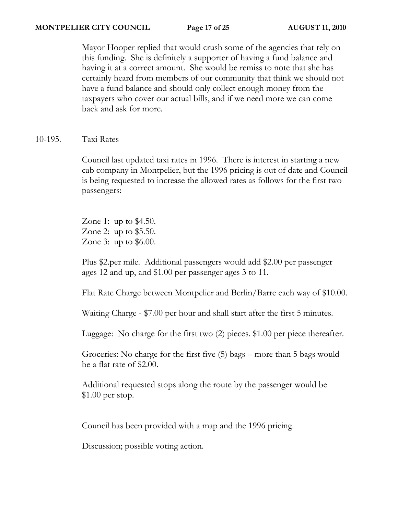### **MONTPELIER CITY COUNCIL Page 17 of 25 AUGUST 11, 2010**

Mayor Hooper replied that would crush some of the agencies that rely on this funding. She is definitely a supporter of having a fund balance and having it at a correct amount. She would be remiss to note that she has certainly heard from members of our community that think we should not have a fund balance and should only collect enough money from the taxpayers who cover our actual bills, and if we need more we can come back and ask for more.

10-195. Taxi Rates

Council last updated taxi rates in 1996. There is interest in starting a new cab company in Montpelier, but the 1996 pricing is out of date and Council is being requested to increase the allowed rates as follows for the first two passengers:

Zone 1: up to \$4.50. Zone 2: up to \$5.50. Zone 3: up to \$6.00.

Plus \$2.per mile. Additional passengers would add \$2.00 per passenger ages 12 and up, and \$1.00 per passenger ages 3 to 11.

Flat Rate Charge between Montpelier and Berlin/Barre each way of \$10.00.

Waiting Charge - \$7.00 per hour and shall start after the first 5 minutes.

Luggage: No charge for the first two (2) pieces. \$1.00 per piece thereafter.

Groceries: No charge for the first five (5) bags – more than 5 bags would be a flat rate of \$2.00.

Additional requested stops along the route by the passenger would be \$1.00 per stop.

Council has been provided with a map and the 1996 pricing.

Discussion; possible voting action.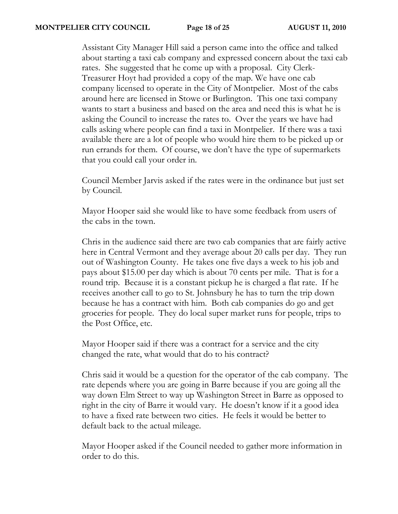Assistant City Manager Hill said a person came into the office and talked about starting a taxi cab company and expressed concern about the taxi cab rates. She suggested that he come up with a proposal. City Clerk-Treasurer Hoyt had provided a copy of the map. We have one cab company licensed to operate in the City of Montpelier. Most of the cabs around here are licensed in Stowe or Burlington. This one taxi company wants to start a business and based on the area and need this is what he is asking the Council to increase the rates to. Over the years we have had calls asking where people can find a taxi in Montpelier. If there was a taxi available there are a lot of people who would hire them to be picked up or run errands for them. Of course, we don't have the type of supermarkets that you could call your order in.

Council Member Jarvis asked if the rates were in the ordinance but just set by Council.

Mayor Hooper said she would like to have some feedback from users of the cabs in the town.

Chris in the audience said there are two cab companies that are fairly active here in Central Vermont and they average about 20 calls per day. They run out of Washington County. He takes one five days a week to his job and pays about \$15.00 per day which is about 70 cents per mile. That is for a round trip. Because it is a constant pickup he is charged a flat rate. If he receives another call to go to St. Johnsbury he has to turn the trip down because he has a contract with him. Both cab companies do go and get groceries for people. They do local super market runs for people, trips to the Post Office, etc.

Mayor Hooper said if there was a contract for a service and the city changed the rate, what would that do to his contract?

Chris said it would be a question for the operator of the cab company. The rate depends where you are going in Barre because if you are going all the way down Elm Street to way up Washington Street in Barre as opposed to right in the city of Barre it would vary. He doesn't know if it a good idea to have a fixed rate between two cities. He feels it would be better to default back to the actual mileage.

Mayor Hooper asked if the Council needed to gather more information in order to do this.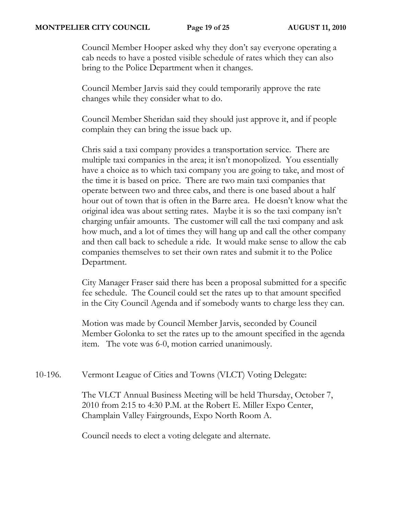#### **MONTPELIER CITY COUNCIL Page 19 of 25 AUGUST 11, 2010**

Council Member Hooper asked why they don't say everyone operating a cab needs to have a posted visible schedule of rates which they can also bring to the Police Department when it changes.

Council Member Jarvis said they could temporarily approve the rate changes while they consider what to do.

Council Member Sheridan said they should just approve it, and if people complain they can bring the issue back up.

Chris said a taxi company provides a transportation service. There are multiple taxi companies in the area; it isn't monopolized. You essentially have a choice as to which taxi company you are going to take, and most of the time it is based on price. There are two main taxi companies that operate between two and three cabs, and there is one based about a half hour out of town that is often in the Barre area. He doesn't know what the original idea was about setting rates. Maybe it is so the taxi company isn't charging unfair amounts. The customer will call the taxi company and ask how much, and a lot of times they will hang up and call the other company and then call back to schedule a ride. It would make sense to allow the cab companies themselves to set their own rates and submit it to the Police Department.

City Manager Fraser said there has been a proposal submitted for a specific fee schedule. The Council could set the rates up to that amount specified in the City Council Agenda and if somebody wants to charge less they can.

Motion was made by Council Member Jarvis, seconded by Council Member Golonka to set the rates up to the amount specified in the agenda item. The vote was 6-0, motion carried unanimously.

10-196. Vermont League of Cities and Towns (VLCT) Voting Delegate:

The VLCT Annual Business Meeting will be held Thursday, October 7, 2010 from 2:15 to 4:30 P.M. at the Robert E. Miller Expo Center, Champlain Valley Fairgrounds, Expo North Room A.

Council needs to elect a voting delegate and alternate.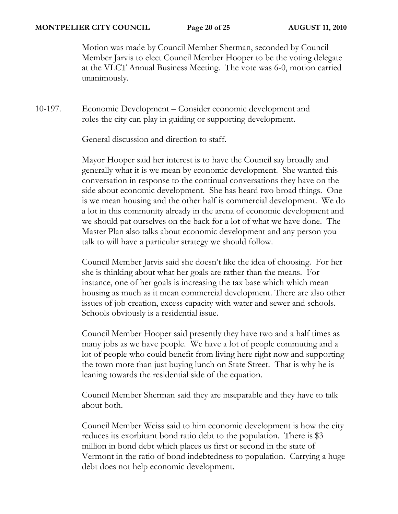#### **MONTPELIER CITY COUNCIL Page 20 of 25 AUGUST 11, 2010**

Motion was made by Council Member Sherman, seconded by Council Member Jarvis to elect Council Member Hooper to be the voting delegate at the VLCT Annual Business Meeting. The vote was 6-0, motion carried unanimously.

10-197. Economic Development – Consider economic development and roles the city can play in guiding or supporting development.

General discussion and direction to staff.

Mayor Hooper said her interest is to have the Council say broadly and generally what it is we mean by economic development. She wanted this conversation in response to the continual conversations they have on the side about economic development. She has heard two broad things. One is we mean housing and the other half is commercial development. We do a lot in this community already in the arena of economic development and we should pat ourselves on the back for a lot of what we have done. The Master Plan also talks about economic development and any person you talk to will have a particular strategy we should follow.

Council Member Jarvis said she doesn't like the idea of choosing. For her she is thinking about what her goals are rather than the means. For instance, one of her goals is increasing the tax base which which mean housing as much as it mean commercial development. There are also other issues of job creation, excess capacity with water and sewer and schools. Schools obviously is a residential issue.

Council Member Hooper said presently they have two and a half times as many jobs as we have people. We have a lot of people commuting and a lot of people who could benefit from living here right now and supporting the town more than just buying lunch on State Street. That is why he is leaning towards the residential side of the equation.

Council Member Sherman said they are inseparable and they have to talk about both.

Council Member Weiss said to him economic development is how the city reduces its exorbitant bond ratio debt to the population. There is \$3 million in bond debt which places us first or second in the state of Vermont in the ratio of bond indebtedness to population. Carrying a huge debt does not help economic development.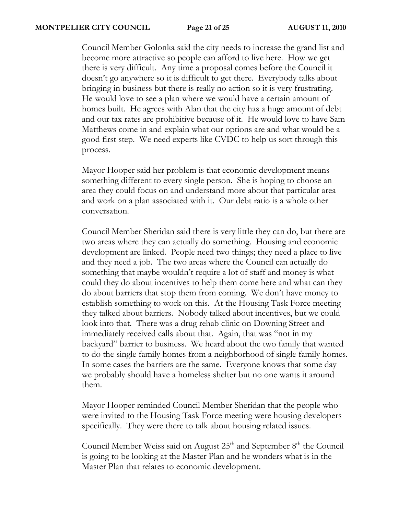#### **MONTPELIER CITY COUNCIL Page 21 of 25 AUGUST 11, 2010**

Council Member Golonka said the city needs to increase the grand list and become more attractive so people can afford to live here. How we get there is very difficult. Any time a proposal comes before the Council it doesn't go anywhere so it is difficult to get there. Everybody talks about bringing in business but there is really no action so it is very frustrating. He would love to see a plan where we would have a certain amount of homes built. He agrees with Alan that the city has a huge amount of debt and our tax rates are prohibitive because of it. He would love to have Sam Matthews come in and explain what our options are and what would be a good first step. We need experts like CVDC to help us sort through this process.

Mayor Hooper said her problem is that economic development means something different to every single person. She is hoping to choose an area they could focus on and understand more about that particular area and work on a plan associated with it. Our debt ratio is a whole other conversation.

Council Member Sheridan said there is very little they can do, but there are two areas where they can actually do something. Housing and economic development are linked. People need two things; they need a place to live and they need a job. The two areas where the Council can actually do something that maybe wouldn't require a lot of staff and money is what could they do about incentives to help them come here and what can they do about barriers that stop them from coming. We don't have money to establish something to work on this. At the Housing Task Force meeting they talked about barriers. Nobody talked about incentives, but we could look into that. There was a drug rehab clinic on Downing Street and immediately received calls about that. Again, that was "not in my backyard" barrier to business. We heard about the two family that wanted to do the single family homes from a neighborhood of single family homes. In some cases the barriers are the same. Everyone knows that some day we probably should have a homeless shelter but no one wants it around them.

Mayor Hooper reminded Council Member Sheridan that the people who were invited to the Housing Task Force meeting were housing developers specifically. They were there to talk about housing related issues.

Council Member Weiss said on August  $25<sup>th</sup>$  and September  $8<sup>th</sup>$  the Council is going to be looking at the Master Plan and he wonders what is in the Master Plan that relates to economic development.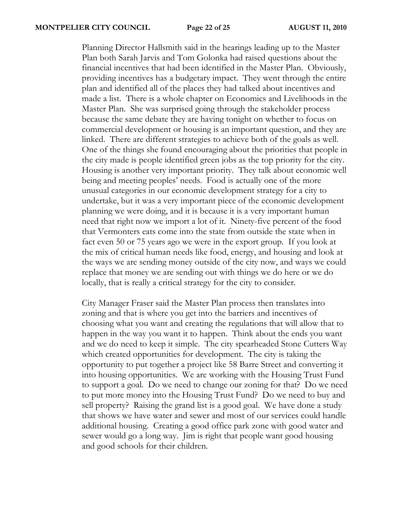Planning Director Hallsmith said in the hearings leading up to the Master Plan both Sarah Jarvis and Tom Golonka had raised questions about the financial incentives that had been identified in the Master Plan. Obviously, providing incentives has a budgetary impact. They went through the entire plan and identified all of the places they had talked about incentives and made a list. There is a whole chapter on Economics and Livelihoods in the Master Plan. She was surprised going through the stakeholder process because the same debate they are having tonight on whether to focus on commercial development or housing is an important question, and they are linked. There are different strategies to achieve both of the goals as well. One of the things she found encouraging about the priorities that people in the city made is people identified green jobs as the top priority for the city. Housing is another very important priority. They talk about economic well being and meeting peoples' needs. Food is actually one of the more unusual categories in our economic development strategy for a city to undertake, but it was a very important piece of the economic development planning we were doing, and it is because it is a very important human need that right now we import a lot of it. Ninety-five percent of the food that Vermonters eats come into the state from outside the state when in fact even 50 or 75 years ago we were in the export group. If you look at the mix of critical human needs like food, energy, and housing and look at the ways we are sending money outside of the city now, and ways we could replace that money we are sending out with things we do here or we do locally, that is really a critical strategy for the city to consider.

City Manager Fraser said the Master Plan process then translates into zoning and that is where you get into the barriers and incentives of choosing what you want and creating the regulations that will allow that to happen in the way you want it to happen. Think about the ends you want and we do need to keep it simple. The city spearheaded Stone Cutters Way which created opportunities for development. The city is taking the opportunity to put together a project like 58 Barre Street and converting it into housing opportunities. We are working with the Housing Trust Fund to support a goal. Do we need to change our zoning for that? Do we need to put more money into the Housing Trust Fund? Do we need to buy and sell property? Raising the grand list is a good goal. We have done a study that shows we have water and sewer and most of our services could handle additional housing. Creating a good office park zone with good water and sewer would go a long way. Jim is right that people want good housing and good schools for their children.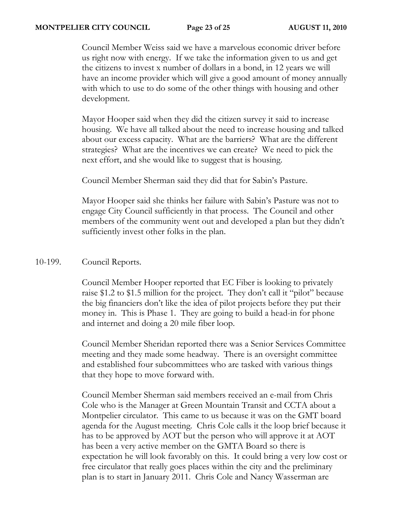#### **MONTPELIER CITY COUNCIL Page 23 of 25 AUGUST 11, 2010**

Council Member Weiss said we have a marvelous economic driver before us right now with energy. If we take the information given to us and get the citizens to invest x number of dollars in a bond, in 12 years we will have an income provider which will give a good amount of money annually with which to use to do some of the other things with housing and other development.

Mayor Hooper said when they did the citizen survey it said to increase housing. We have all talked about the need to increase housing and talked about our excess capacity. What are the barriers? What are the different strategies? What are the incentives we can create? We need to pick the next effort, and she would like to suggest that is housing.

Council Member Sherman said they did that for Sabin's Pasture.

Mayor Hooper said she thinks her failure with Sabin's Pasture was not to engage City Council sufficiently in that process. The Council and other members of the community went out and developed a plan but they didn't sufficiently invest other folks in the plan.

## 10-199. Council Reports.

Council Member Hooper reported that EC Fiber is looking to privately raise \$1.2 to \$1.5 million for the project. They don't call it "pilot" because the big financiers don't like the idea of pilot projects before they put their money in. This is Phase 1. They are going to build a head-in for phone and internet and doing a 20 mile fiber loop.

Council Member Sheridan reported there was a Senior Services Committee meeting and they made some headway. There is an oversight committee and established four subcommittees who are tasked with various things that they hope to move forward with.

Council Member Sherman said members received an e-mail from Chris Cole who is the Manager at Green Mountain Transit and CCTA about a Montpelier circulator. This came to us because it was on the GMT board agenda for the August meeting. Chris Cole calls it the loop brief because it has to be approved by AOT but the person who will approve it at AOT has been a very active member on the GMTA Board so there is expectation he will look favorably on this. It could bring a very low cost or free circulator that really goes places within the city and the preliminary plan is to start in January 2011. Chris Cole and Nancy Wasserman are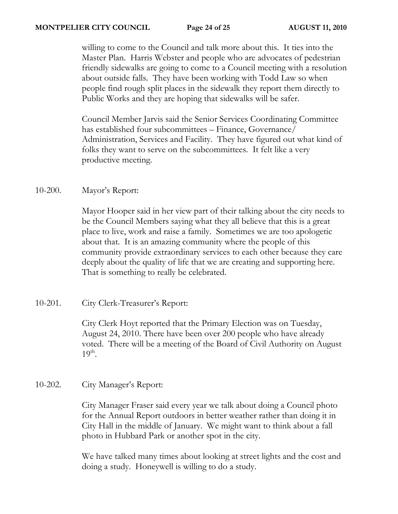willing to come to the Council and talk more about this. It ties into the Master Plan. Harris Webster and people who are advocates of pedestrian friendly sidewalks are going to come to a Council meeting with a resolution about outside falls. They have been working with Todd Law so when people find rough split places in the sidewalk they report them directly to Public Works and they are hoping that sidewalks will be safer.

Council Member Jarvis said the Senior Services Coordinating Committee has established four subcommittees – Finance, Governance/ Administration, Services and Facility. They have figured out what kind of folks they want to serve on the subcommittees. It felt like a very productive meeting.

# 10-200. Mayor's Report:

Mayor Hooper said in her view part of their talking about the city needs to be the Council Members saying what they all believe that this is a great place to live, work and raise a family. Sometimes we are too apologetic about that. It is an amazing community where the people of this community provide extraordinary services to each other because they care deeply about the quality of life that we are creating and supporting here. That is something to really be celebrated.

# 10-201. City Clerk-Treasurer's Report:

City Clerk Hoyt reported that the Primary Election was on Tuesday, August 24, 2010. There have been over 200 people who have already voted. There will be a meeting of the Board of Civil Authority on August  $19<sup>th</sup>$ .

# 10-202. City Manager's Report:

City Manager Fraser said every year we talk about doing a Council photo for the Annual Report outdoors in better weather rather than doing it in City Hall in the middle of January. We might want to think about a fall photo in Hubbard Park or another spot in the city.

We have talked many times about looking at street lights and the cost and doing a study. Honeywell is willing to do a study.